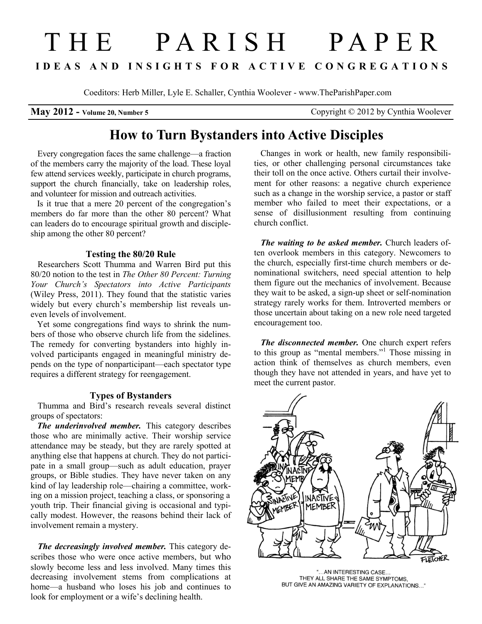# T H E P A R I S H P A P E R **I D E A S A N D I N S I G H T S F O R A C T I V E C O N G R E G A T I O N S**

Coeditors: Herb Miller, Lyle E. Schaller, Cynthia Woolever - www.TheParishPaper.com

**May 2012 -** Volume 20, Number 5 Copyright © 2012 by Cynthia Woolever

# **How to Turn Bystanders into Active Disciples**

 Every congregation faces the same challenge—a fraction of the members carry the majority of the load. These loyal few attend services weekly, participate in church programs, support the church financially, take on leadership roles, and volunteer for mission and outreach activities.

 Is it true that a mere 20 percent of the congregation's members do far more than the other 80 percent? What can leaders do to encourage spiritual growth and discipleship among the other 80 percent?

### **Testing the 80/20 Rule**

 Researchers Scott Thumma and Warren Bird put this 80/20 notion to the test in *The Other 80 Percent: Turning Your Church's Spectators into Active Participants* (Wiley Press, 2011). They found that the statistic varies widely but every church's membership list reveals uneven levels of involvement.

 Yet some congregations find ways to shrink the numbers of those who observe church life from the sidelines. The remedy for converting bystanders into highly involved participants engaged in meaningful ministry depends on the type of nonparticipant—each spectator type requires a different strategy for reengagement.

#### **Types of Bystanders**

 Thumma and Bird's research reveals several distinct groups of spectators:

 *The underinvolved member.* This category describes those who are minimally active. Their worship service attendance may be steady, but they are rarely spotted at anything else that happens at church. They do not participate in a small group—such as adult education, prayer groups, or Bible studies. They have never taken on any kind of lay leadership role—chairing a committee, working on a mission project, teaching a class, or sponsoring a youth trip. Their financial giving is occasional and typically modest. However, the reasons behind their lack of involvement remain a mystery.

*The decreasingly involved member.* This category describes those who were once active members, but who slowly become less and less involved. Many times this decreasing involvement stems from complications at home—a husband who loses his job and continues to look for employment or a wife's declining health.

 Changes in work or health, new family responsibilities, or other challenging personal circumstances take their toll on the once active. Others curtail their involvement for other reasons: a negative church experience such as a change in the worship service, a pastor or staff member who failed to meet their expectations, or a sense of disillusionment resulting from continuing church conflict.

 *The waiting to be asked member.* Church leaders often overlook members in this category. Newcomers to the church, especially first-time church members or denominational switchers, need special attention to help them figure out the mechanics of involvement. Because they wait to be asked, a sign-up sheet or self-nomination strategy rarely works for them. Introverted members or those uncertain about taking on a new role need targeted encouragement too.

 *The disconnected member.* One church expert refers to this group as "mental members."<sup>1</sup> Those missing in action think of themselves as church members, even though they have not attended in years, and have yet to meet the current pastor.



"...AN INTERESTING CASE... THEY ALL SHARE THE SAME SYMPTOMS. BUT GIVE AN AMAZING VARIETY OF EXPLANATIONS..."